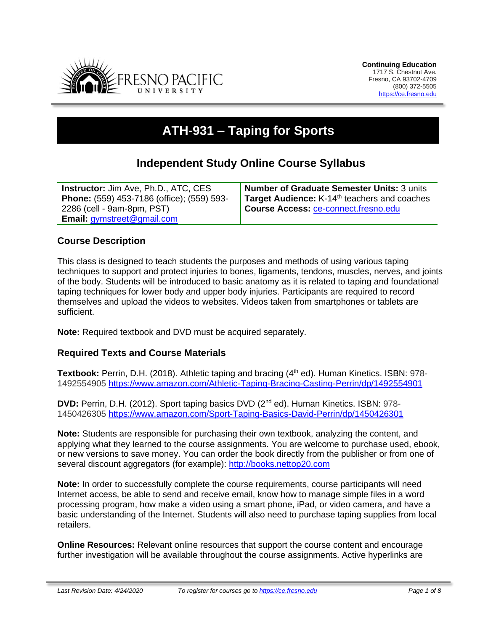

# **ATH-931 – Taping for Sports**

# **Independent Study Online Course Syllabus**

| <b>Instructor: Jim Ave, Ph.D., ATC, CES</b> | <b>Number of Graduate Semester Units: 3 units</b>        |
|---------------------------------------------|----------------------------------------------------------|
| Phone: (559) 453-7186 (office); (559) 593-  | Target Audience: K-14 <sup>th</sup> teachers and coaches |
| 2286 (cell - 9am-8pm, PST)                  | Course Access: ce-connect.fresno.edu                     |
| Email: gymstreet@gmail.com                  |                                                          |

### **Course Description**

This class is designed to teach students the purposes and methods of using various taping techniques to support and protect injuries to bones, ligaments, tendons, muscles, nerves, and joints of the body. Students will be introduced to basic anatomy as it is related to taping and foundational taping techniques for lower body and upper body injuries. Participants are required to record themselves and upload the videos to websites. Videos taken from smartphones or tablets are sufficient.

**Note:** Required textbook and DVD must be acquired separately.

#### **Required Texts and Course Materials**

Textbook: Perrin, D.H. (2018). Athletic taping and bracing (4<sup>th</sup> ed). Human Kinetics. ISBN: 978-1492554905<https://www.amazon.com/Athletic-Taping-Bracing-Casting-Perrin/dp/1492554901>

**DVD:** Perrin, D.H. (2012). Sport taping basics DVD (2<sup>nd</sup> ed). Human Kinetics. ISBN: 978-1450426305<https://www.amazon.com/Sport-Taping-Basics-David-Perrin/dp/1450426301>

**Note:** Students are responsible for purchasing their own textbook, analyzing the content, and applying what they learned to the course assignments. You are welcome to purchase used, ebook, or new versions to save money. You can order the book directly from the publisher or from one of several discount aggregators (for example): [http://books.nettop20.com](http://books.nettop20.com/)

**Note:** In order to successfully complete the course requirements, course participants will need Internet access, be able to send and receive email, know how to manage simple files in a word processing program, how make a video using a smart phone, iPad, or video camera, and have a basic understanding of the Internet. Students will also need to purchase taping supplies from local retailers.

**Online Resources:** Relevant online resources that support the course content and encourage further investigation will be available throughout the course assignments. Active hyperlinks are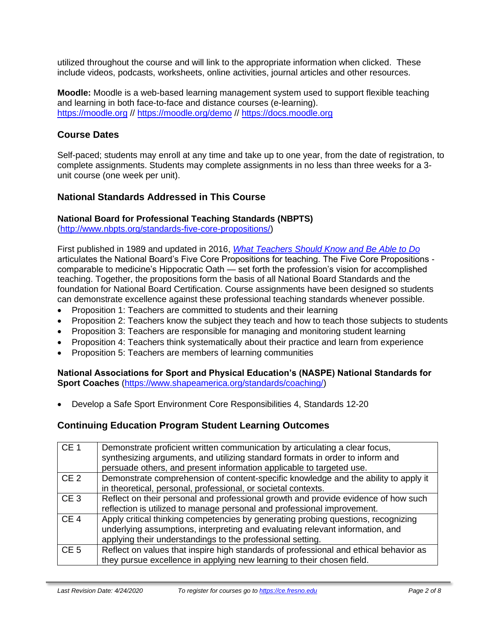utilized throughout the course and will link to the appropriate information when clicked. These include videos, podcasts, worksheets, online activities, journal articles and other resources.

**Moodle:** Moodle is a web-based learning management system used to support flexible teaching and learning in both face-to-face and distance courses (e-learning). [https://moodle.org](https://moodle.org/) // <https://moodle.org/demo> // [https://docs.moodle.org](https://docs.moodle.org/)

### **Course Dates**

Self-paced; students may enroll at any time and take up to one year, from the date of registration, to complete assignments. Students may complete assignments in no less than three weeks for a 3 unit course (one week per unit).

### **National Standards Addressed in This Course**

### **National Board for Professional Teaching Standards (NBPTS)**

[\(http://www.nbpts.org/standards-five-core-propositions/\)](http://www.nbpts.org/standards-five-core-propositions/)

First published in 1989 and updated in 2016, *[What Teachers Should Know and Be Able to Do](http://www.accomplishedteacher.org/)* articulates the National Board's Five Core Propositions for teaching. The Five Core Propositions comparable to medicine's Hippocratic Oath — set forth the profession's vision for accomplished teaching. Together, the propositions form the basis of all National Board Standards and the foundation for National Board Certification. Course assignments have been designed so students can demonstrate excellence against these professional teaching standards whenever possible.

- Proposition 1: Teachers are committed to students and their learning
- Proposition 2: Teachers know the subject they teach and how to teach those subjects to students
- Proposition 3: Teachers are responsible for managing and monitoring student learning
- Proposition 4: Teachers think systematically about their practice and learn from experience
- Proposition 5: Teachers are members of learning communities

#### **National Associations for Sport and Physical Education's (NASPE) National Standards for Sport Coaches** [\(https://www.shapeamerica.org/standards/coaching/\)](https://www.shapeamerica.org/standards/coaching/)

• Develop a Safe Sport Environment Core Responsibilities 4, Standards 12-20

### **Continuing Education Program Student Learning Outcomes**

| CE <sub>1</sub> | Demonstrate proficient written communication by articulating a clear focus,<br>synthesizing arguments, and utilizing standard formats in order to inform and<br>persuade others, and present information applicable to targeted use. |
|-----------------|--------------------------------------------------------------------------------------------------------------------------------------------------------------------------------------------------------------------------------------|
| CE <sub>2</sub> | Demonstrate comprehension of content-specific knowledge and the ability to apply it<br>in theoretical, personal, professional, or societal contexts.                                                                                 |
| CE <sub>3</sub> | Reflect on their personal and professional growth and provide evidence of how such<br>reflection is utilized to manage personal and professional improvement.                                                                        |
| CE <sub>4</sub> | Apply critical thinking competencies by generating probing questions, recognizing<br>underlying assumptions, interpreting and evaluating relevant information, and<br>applying their understandings to the professional setting.     |
| CE <sub>5</sub> | Reflect on values that inspire high standards of professional and ethical behavior as<br>they pursue excellence in applying new learning to their chosen field.                                                                      |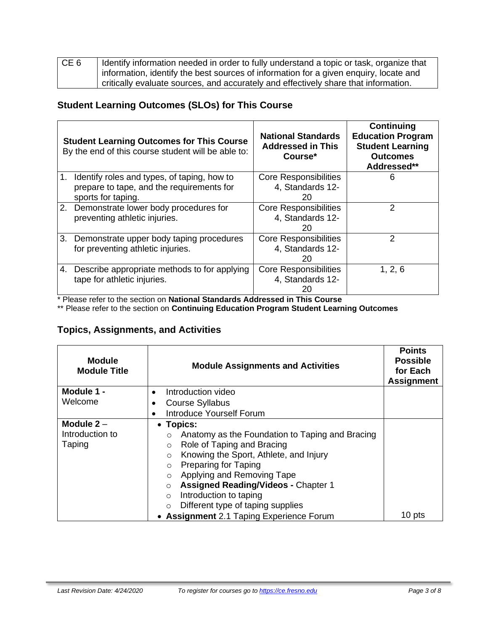| CE <sub>6</sub> | Identify information needed in order to fully understand a topic or task, organize that |
|-----------------|-----------------------------------------------------------------------------------------|
|                 | information, identify the best sources of information for a given enquiry, locate and   |
|                 | critically evaluate sources, and accurately and effectively share that information.     |

## **Student Learning Outcomes (SLOs) for This Course**

|    | <b>Student Learning Outcomes for This Course</b><br>By the end of this course student will be able to:            | <b>National Standards</b><br><b>Addressed in This</b><br>Course* | Continuing<br><b>Education Program</b><br><b>Student Learning</b><br><b>Outcomes</b><br>Addressed** |
|----|-------------------------------------------------------------------------------------------------------------------|------------------------------------------------------------------|-----------------------------------------------------------------------------------------------------|
|    | 1. Identify roles and types, of taping, how to<br>prepare to tape, and the requirements for<br>sports for taping. | <b>Core Responsibilities</b><br>4, Standards 12-<br>20           | 6                                                                                                   |
|    | 2. Demonstrate lower body procedures for<br>preventing athletic injuries.                                         | <b>Core Responsibilities</b><br>4, Standards 12-<br>20           | $\mathcal{P}$                                                                                       |
|    | 3. Demonstrate upper body taping procedures<br>for preventing athletic injuries.                                  | <b>Core Responsibilities</b><br>4, Standards 12-<br>20           | $\mathcal{P}$                                                                                       |
| 4. | Describe appropriate methods to for applying<br>tape for athletic injuries.                                       | <b>Core Responsibilities</b><br>4, Standards 12-<br>20           | 1, 2, 6                                                                                             |

\* Please refer to the section on **National Standards Addressed in This Course**

\*\* Please refer to the section on **Continuing Education Program Student Learning Outcomes**

# **Topics, Assignments, and Activities**

| <b>Module</b><br><b>Module Title</b>      | <b>Module Assignments and Activities</b>                                                                                                                                                                                                                                                                                                                                                                                                         | <b>Points</b><br><b>Possible</b><br>for Each<br><b>Assignment</b> |
|-------------------------------------------|--------------------------------------------------------------------------------------------------------------------------------------------------------------------------------------------------------------------------------------------------------------------------------------------------------------------------------------------------------------------------------------------------------------------------------------------------|-------------------------------------------------------------------|
| Module 1 -                                | Introduction video                                                                                                                                                                                                                                                                                                                                                                                                                               |                                                                   |
| Welcome                                   | <b>Course Syllabus</b>                                                                                                                                                                                                                                                                                                                                                                                                                           |                                                                   |
|                                           | <b>Introduce Yourself Forum</b>                                                                                                                                                                                                                                                                                                                                                                                                                  |                                                                   |
| Module $2 -$<br>Introduction to<br>Taping | • Topics:<br>Anatomy as the Foundation to Taping and Bracing<br>$\circ$<br>Role of Taping and Bracing<br>$\circ$<br>Knowing the Sport, Athlete, and Injury<br>$\circ$<br>Preparing for Taping<br>$\circ$<br>Applying and Removing Tape<br>$\circ$<br><b>Assigned Reading/Videos - Chapter 1</b><br>$\circ$<br>Introduction to taping<br>$\circ$<br>Different type of taping supplies<br>$\circ$<br><b>Assignment 2.1 Taping Experience Forum</b> | 10 pts                                                            |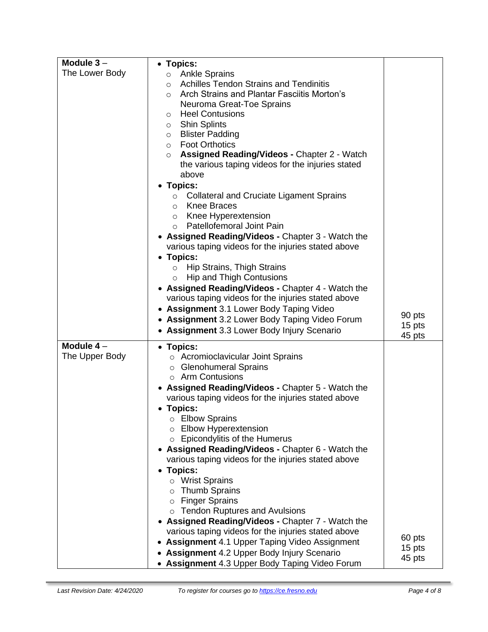| Module $3-$<br>• Topics:                                                                  |        |
|-------------------------------------------------------------------------------------------|--------|
| The Lower Body<br>o Ankle Sprains                                                         |        |
| <b>Achilles Tendon Strains and Tendinitis</b><br>$\circ$                                  |        |
| Arch Strains and Plantar Fasciitis Morton's<br>$\circ$                                    |        |
| Neuroma Great-Toe Sprains                                                                 |        |
| <b>Heel Contusions</b><br>$\circ$                                                         |        |
| <b>Shin Splints</b><br>$\circ$                                                            |        |
| <b>Blister Padding</b><br>$\circ$<br><b>Foot Orthotics</b><br>$\circ$                     |        |
| <b>Assigned Reading/Videos - Chapter 2 - Watch</b><br>$\circ$                             |        |
| the various taping videos for the injuries stated                                         |        |
| above                                                                                     |        |
| <b>Topics:</b>                                                                            |        |
| <b>Collateral and Cruciate Ligament Sprains</b><br>$\circ$                                |        |
| <b>Knee Braces</b><br>$\circ$                                                             |        |
| Knee Hyperextension<br>$\circ$                                                            |        |
| Patellofemoral Joint Pain<br>$\circ$<br>• Assigned Reading/Videos - Chapter 3 - Watch the |        |
| various taping videos for the injuries stated above                                       |        |
| <b>Topics:</b>                                                                            |        |
| Hip Strains, Thigh Strains<br>$\circ$                                                     |        |
| <b>Hip and Thigh Contusions</b><br>$\circ$                                                |        |
| • Assigned Reading/Videos - Chapter 4 - Watch the                                         |        |
| various taping videos for the injuries stated above                                       |        |
| • Assignment 3.1 Lower Body Taping Video                                                  | 90 pts |
| • Assignment 3.2 Lower Body Taping Video Forum                                            | 15 pts |
| • Assignment 3.3 Lower Body Injury Scenario                                               | 45 pts |
| Module $4-$<br>• Topics:                                                                  |        |
| The Upper Body<br>○ Acromioclavicular Joint Sprains                                       |        |
| <b>Glenohumeral Sprains</b><br>$\circ$<br>$\circ$ Arm Contusions                          |        |
| <b>Assigned Reading/Videos - Chapter 5 - Watch the</b>                                    |        |
| various taping videos for the injuries stated above                                       |        |
| • Topics:                                                                                 |        |
| <b>Elbow Sprains</b>                                                                      |        |
| <b>Elbow Hyperextension</b><br>$\circ$                                                    |        |
| Epicondylitis of the Humerus<br>O                                                         |        |
| Assigned Reading/Videos - Chapter 6 - Watch the                                           |        |
| various taping videos for the injuries stated above<br><b>Topics:</b>                     |        |
| o Wrist Sprains                                                                           |        |
| <b>Thumb Sprains</b><br>$\circ$                                                           |        |
| <b>Finger Sprains</b><br>$\circ$                                                          |        |
| <b>Tendon Ruptures and Avulsions</b><br>$\circ$                                           |        |
| • Assigned Reading/Videos - Chapter 7 - Watch the                                         |        |
| various taping videos for the injuries stated above                                       | 60 pts |
| <b>Assignment 4.1 Upper Taping Video Assignment</b>                                       |        |
| <b>Assignment 4.2 Upper Body Injury Scenario</b>                                          | 15 pts |

×.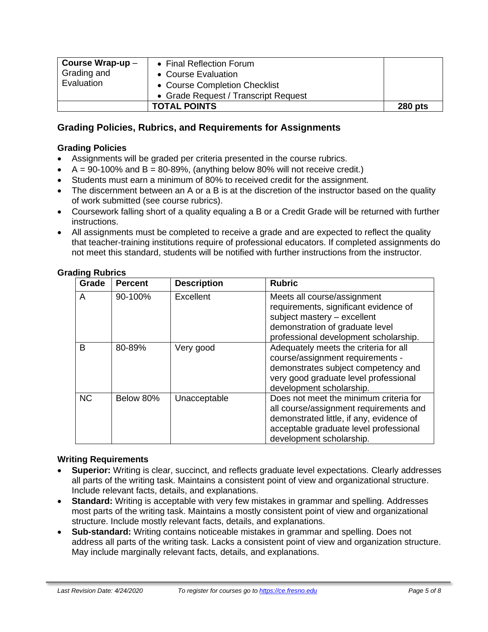| Course Wrap-up $-$<br>Grading and<br>Evaluation | • Final Reflection Forum<br>• Course Evaluation |                |
|-------------------------------------------------|-------------------------------------------------|----------------|
|                                                 | • Course Completion Checklist                   |                |
|                                                 | • Grade Request / Transcript Request            |                |
|                                                 | <b>TOTAL POINTS</b>                             | <b>280 pts</b> |

### **Grading Policies, Rubrics, and Requirements for Assignments**

#### **Grading Policies**

- Assignments will be graded per criteria presented in the course rubrics.
- $A = 90-100\%$  and  $B = 80-89\%$ , (anything below 80% will not receive credit.)
- Students must earn a minimum of 80% to received credit for the assignment.
- The discernment between an A or a B is at the discretion of the instructor based on the quality of work submitted (see course rubrics).
- Coursework falling short of a quality equaling a B or a Credit Grade will be returned with further instructions.
- All assignments must be completed to receive a grade and are expected to reflect the quality that teacher-training institutions require of professional educators. If completed assignments do not meet this standard, students will be notified with further instructions from the instructor.

| Grade     | <b>Percent</b> | <b>Description</b> | <b>Rubric</b>                                                                                                                                                                                      |
|-----------|----------------|--------------------|----------------------------------------------------------------------------------------------------------------------------------------------------------------------------------------------------|
| A         | 90-100%        | Excellent          | Meets all course/assignment<br>requirements, significant evidence of<br>subject mastery - excellent<br>demonstration of graduate level<br>professional development scholarship.                    |
| в         | 80-89%         | Very good          | Adequately meets the criteria for all<br>course/assignment requirements -<br>demonstrates subject competency and<br>very good graduate level professional<br>development scholarship.              |
| <b>NC</b> | Below 80%      | Unacceptable       | Does not meet the minimum criteria for<br>all course/assignment requirements and<br>demonstrated little, if any, evidence of<br>acceptable graduate level professional<br>development scholarship. |

#### **Grading Rubrics**

#### **Writing Requirements**

- **Superior:** Writing is clear, succinct, and reflects graduate level expectations. Clearly addresses all parts of the writing task. Maintains a consistent point of view and organizational structure. Include relevant facts, details, and explanations.
- **Standard:** Writing is acceptable with very few mistakes in grammar and spelling. Addresses most parts of the writing task. Maintains a mostly consistent point of view and organizational structure. Include mostly relevant facts, details, and explanations.
- **Sub-standard:** Writing contains noticeable mistakes in grammar and spelling. Does not address all parts of the writing task. Lacks a consistent point of view and organization structure. May include marginally relevant facts, details, and explanations.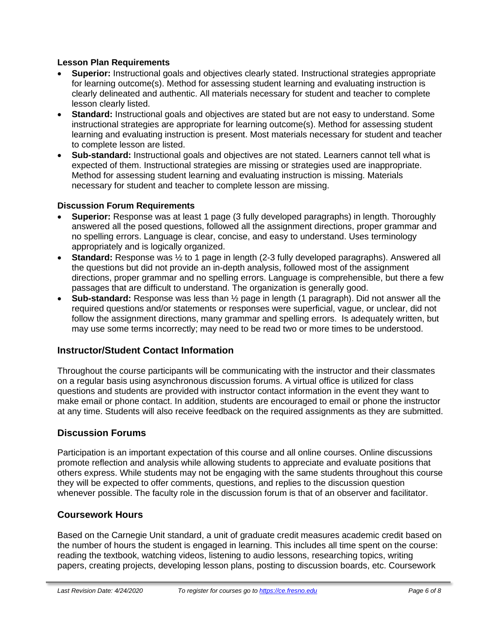### **Lesson Plan Requirements**

- **Superior:** Instructional goals and objectives clearly stated. Instructional strategies appropriate for learning outcome(s). Method for assessing student learning and evaluating instruction is clearly delineated and authentic. All materials necessary for student and teacher to complete lesson clearly listed.
- **Standard:** Instructional goals and objectives are stated but are not easy to understand. Some instructional strategies are appropriate for learning outcome(s). Method for assessing student learning and evaluating instruction is present. Most materials necessary for student and teacher to complete lesson are listed.
- **Sub-standard:** Instructional goals and objectives are not stated. Learners cannot tell what is expected of them. Instructional strategies are missing or strategies used are inappropriate. Method for assessing student learning and evaluating instruction is missing. Materials necessary for student and teacher to complete lesson are missing.

### **Discussion Forum Requirements**

- **Superior:** Response was at least 1 page (3 fully developed paragraphs) in length. Thoroughly answered all the posed questions, followed all the assignment directions, proper grammar and no spelling errors. Language is clear, concise, and easy to understand. Uses terminology appropriately and is logically organized.
- **Standard:** Response was ½ to 1 page in length (2-3 fully developed paragraphs). Answered all the questions but did not provide an in-depth analysis, followed most of the assignment directions, proper grammar and no spelling errors. Language is comprehensible, but there a few passages that are difficult to understand. The organization is generally good.
- **Sub-standard:** Response was less than ½ page in length (1 paragraph). Did not answer all the required questions and/or statements or responses were superficial, vague, or unclear, did not follow the assignment directions, many grammar and spelling errors. Is adequately written, but may use some terms incorrectly; may need to be read two or more times to be understood.

### **Instructor/Student Contact Information**

Throughout the course participants will be communicating with the instructor and their classmates on a regular basis using asynchronous discussion forums. A virtual office is utilized for class questions and students are provided with instructor contact information in the event they want to make email or phone contact. In addition, students are encouraged to email or phone the instructor at any time. Students will also receive feedback on the required assignments as they are submitted.

### **Discussion Forums**

Participation is an important expectation of this course and all online courses. Online discussions promote reflection and analysis while allowing students to appreciate and evaluate positions that others express. While students may not be engaging with the same students throughout this course they will be expected to offer comments, questions, and replies to the discussion question whenever possible. The faculty role in the discussion forum is that of an observer and facilitator.

### **Coursework Hours**

Based on the Carnegie Unit standard, a unit of graduate credit measures academic credit based on the number of hours the student is engaged in learning. This includes all time spent on the course: reading the textbook, watching videos, listening to audio lessons, researching topics, writing papers, creating projects, developing lesson plans, posting to discussion boards, etc. Coursework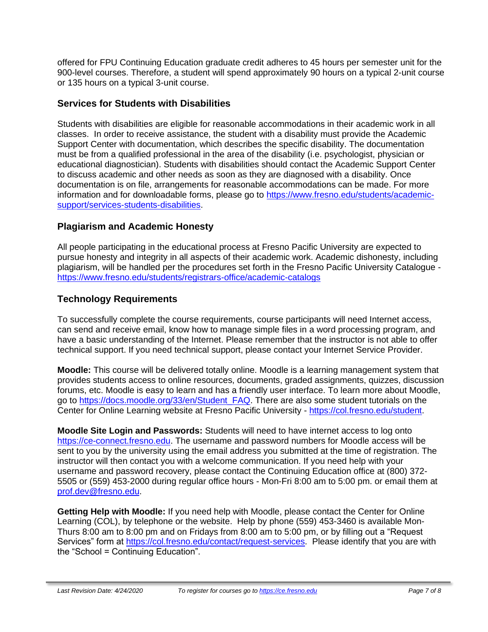offered for FPU Continuing Education graduate credit adheres to 45 hours per semester unit for the 900-level courses. Therefore, a student will spend approximately 90 hours on a typical 2-unit course or 135 hours on a typical 3-unit course.

### **Services for Students with Disabilities**

Students with disabilities are eligible for reasonable accommodations in their academic work in all classes. In order to receive assistance, the student with a disability must provide the Academic Support Center with documentation, which describes the specific disability. The documentation must be from a qualified professional in the area of the disability (i.e. psychologist, physician or educational diagnostician). Students with disabilities should contact the Academic Support Center to discuss academic and other needs as soon as they are diagnosed with a disability. Once documentation is on file, arrangements for reasonable accommodations can be made. For more information and for downloadable forms, please go to [https://www.fresno.edu/students/academic](https://www.fresno.edu/students/academic-support/services-students-disabilities)[support/services-students-disabilities.](https://www.fresno.edu/students/academic-support/services-students-disabilities)

### **Plagiarism and Academic Honesty**

All people participating in the educational process at Fresno Pacific University are expected to pursue honesty and integrity in all aspects of their academic work. Academic dishonesty, including plagiarism, will be handled per the procedures set forth in the Fresno Pacific University Catalogue <https://www.fresno.edu/students/registrars-office/academic-catalogs>

### **Technology Requirements**

To successfully complete the course requirements, course participants will need Internet access, can send and receive email, know how to manage simple files in a word processing program, and have a basic understanding of the Internet. Please remember that the instructor is not able to offer technical support. If you need technical support, please contact your Internet Service Provider.

**Moodle:** This course will be delivered totally online. Moodle is a learning management system that provides students access to online resources, documents, graded assignments, quizzes, discussion forums, etc. Moodle is easy to learn and has a friendly user interface. To learn more about Moodle, go to [https://docs.moodle.org/33/en/Student\\_FAQ.](https://docs.moodle.org/33/en/Student_FAQ) There are also some student tutorials on the Center for Online Learning website at Fresno Pacific University - [https://col.fresno.edu/student.](https://col.fresno.edu/student)

**Moodle Site Login and Passwords:** Students will need to have internet access to log onto [https://ce-connect.fresno.edu.](https://ce-connect.fresno.edu/) The username and password numbers for Moodle access will be sent to you by the university using the email address you submitted at the time of registration. The instructor will then contact you with a welcome communication. If you need help with your username and password recovery, please contact the Continuing Education office at (800) 372- 5505 or (559) 453-2000 during regular office hours - Mon-Fri 8:00 am to 5:00 pm. or email them at [prof.dev@fresno.edu.](mailto:prof.dev@fresno.edu)

**Getting Help with Moodle:** If you need help with Moodle, please contact the Center for Online Learning (COL), by telephone or the website. Help by phone (559) 453-3460 is available Mon-Thurs 8:00 am to 8:00 pm and on Fridays from 8:00 am to 5:00 pm, or by filling out a "Request Services" form at [https://col.fresno.edu/contact/request-services.](https://col.fresno.edu/contact/request-services) Please identify that you are with the "School = Continuing Education".